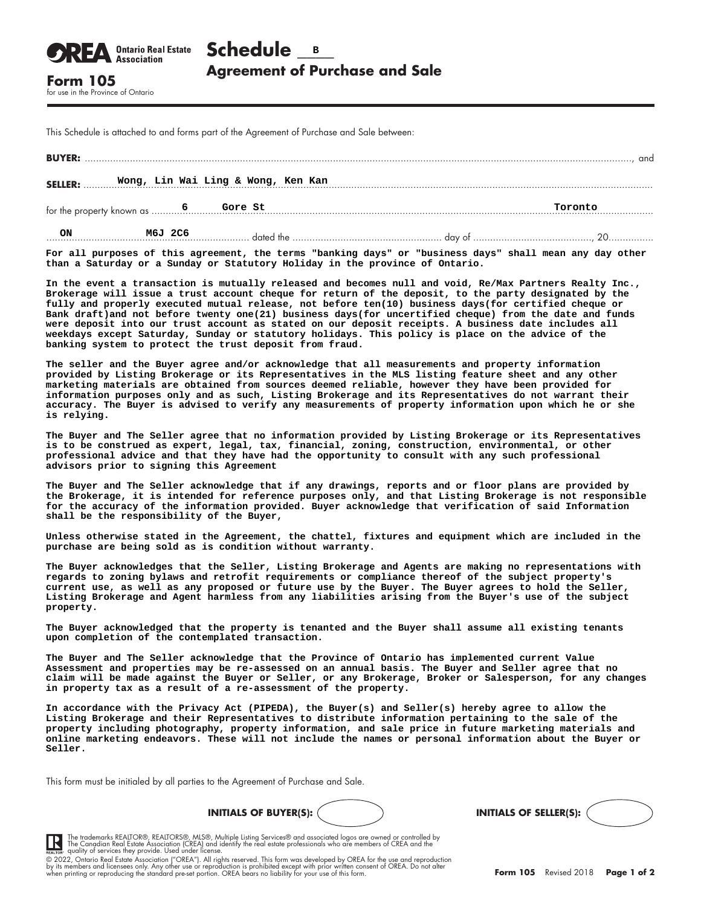| <b>OREA</b> <i><b>Ontario Real Estate</b></i> Schedule <b>B</b> |                                       |
|-----------------------------------------------------------------|---------------------------------------|
| <b>Form 105</b>                                                 | <b>Agreement of Purchase and Sale</b> |
|                                                                 |                                       |

for use in the Province of Ontario

This Schedule is attached to and forms part of the Agreement of Purchase and Sale between:

|                                                      |         |  |  |  | and |  |
|------------------------------------------------------|---------|--|--|--|-----|--|
| Wong, Lin Wai Ling & Wong, Ken Kan<br><b>SELLER:</b> |         |  |  |  |     |  |
|                                                      |         |  |  |  |     |  |
| ON                                                   | M6J 2C6 |  |  |  |     |  |

**For all purposes of this agreement, the terms "banking days" or "business days" shall mean any day other than a Saturday or a Sunday or Statutory Holiday in the province of Ontario.**

**In the event a transaction is mutually released and becomes null and void, Re/Max Partners Realty Inc., Brokerage will issue a trust account cheque for return of the deposit, to the party designated by the fully and properly executed mutual release, not before ten(10) business days(for certified cheque or Bank draft)and not before twenty one(21) business days(for uncertified cheque) from the date and funds were deposit into our trust account as stated on our deposit receipts. A business date includes all weekdays except Saturday, Sunday or statutory holidays. This policy is place on the advice of the banking system to protect the trust deposit from fraud.**

**The seller and the Buyer agree and/or acknowledge that all measurements and property information provided by Listing Brokerage or its Representatives in the MLS listing feature sheet and any other marketing materials are obtained from sources deemed reliable, however they have been provided for information purposes only and as such, Listing Brokerage and its Representatives do not warrant their accuracy. The Buyer is advised to verify any measurements of property information upon which he or she is relying.**

**The Buyer and The Seller agree that no information provided by Listing Brokerage or its Representatives is to be construed as expert, legal, tax, financial, zoning, construction, environmental, or other professional advice and that they have had the opportunity to consult with any such professional advisors prior to signing this Agreement**

**The Buyer and The Seller acknowledge that if any drawings, reports and or floor plans are provided by the Brokerage, it is intended for reference purposes only, and that Listing Brokerage is not responsible for the accuracy of the information provided. Buyer acknowledge that verification of said Information shall be the responsibility of the Buyer,**

**Unless otherwise stated in the Agreement, the chattel, fixtures and equipment which are included in the purchase are being sold as is condition without warranty.**

**The Buyer acknowledges that the Seller, Listing Brokerage and Agents are making no representations with regards to zoning bylaws and retrofit requirements or compliance thereof of the subject property's current use, as well as any proposed or future use by the Buyer. The Buyer agrees to hold the Seller, Listing Brokerage and Agent harmless from any liabilities arising from the Buyer's use of the subject property.**

**The Buyer acknowledged that the property is tenanted and the Buyer shall assume all existing tenants upon completion of the contemplated transaction.**

**The Buyer and The Seller acknowledge that the Province of Ontario has implemented current Value Assessment and properties may be re-assessed on an annual basis. The Buyer and Seller agree that no claim will be made against the Buyer or Seller, or any Brokerage, Broker or Salesperson, for any changes in property tax as a result of a re-assessment of the property.**

**In accordance with the Privacy Act (PIPEDA), the Buyer(s) and Seller(s) hereby agree to allow the Listing Brokerage and their Representatives to distribute information pertaining to the sale of the property including photography, property information, and sale price in future marketing materials and online marketing endeavors. These will not include the names or personal information about the Buyer or Seller.**

This form must be initialed by all parties to the Agreement of Purchase and Sale.

**IR** 





The trademarks REALTOR®, REALTORS®, MLS®, Multiple Listing Services® and associated logos are owned or controlled by<br>The Canadian Real Estate Association (CREA) and identify the real estate professionals who are members of

by its members and licensees only. Any other use or reproduction is prohibited except with prior written consent of OREA. Do not alter<br>when printing or reproducing the standard pre-set portion. OREA bears no liability for © 2022, Ontario Real Estate Association ("OREA"). All rights reserved. This form was developed by OREA for the use and reproduction